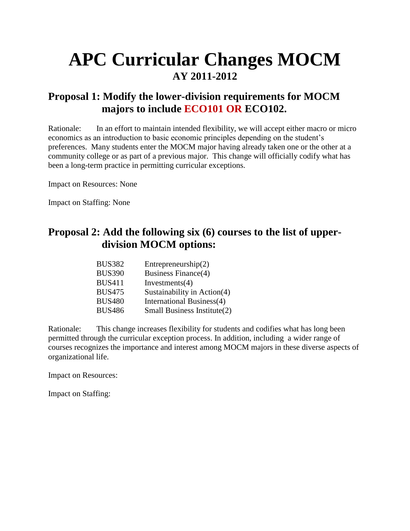# **APC Curricular Changes MOCM AY 2011-2012**

## **Proposal 1: Modify the lower-division requirements for MOCM majors to include ECO101 OR ECO102.**

Rationale: In an effort to maintain intended flexibility, we will accept either macro or micro economics as an introduction to basic economic principles depending on the student's preferences. Many students enter the MOCM major having already taken one or the other at a community college or as part of a previous major. This change will officially codify what has been a long-term practice in permitting curricular exceptions.

Impact on Resources: None

Impact on Staffing: None

## **Proposal 2: Add the following six (6) courses to the list of upper division MOCM options:**

| BUS382        | Entrepreneurship $(2)$        |
|---------------|-------------------------------|
| <b>BUS390</b> | <b>Business Finance(4)</b>    |
| <b>BUS411</b> | Investments $(4)$             |
| <b>BUS475</b> | Sustainability in $Action(4)$ |
| <b>BUS480</b> | International Business(4)     |
| <b>BUS486</b> | Small Business Institute(2)   |

Rationale: This change increases flexibility for students and codifies what has long been permitted through the curricular exception process. In addition, including a wider range of courses recognizes the importance and interest among MOCM majors in these diverse aspects of organizational life.

Impact on Resources:

Impact on Staffing: